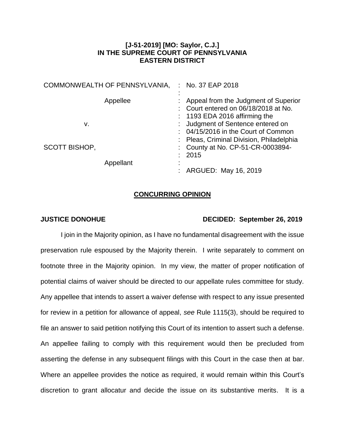## **[J-51-2019] [MO: Saylor, C.J.] IN THE SUPREME COURT OF PENNSYLVANIA EASTERN DISTRICT**

|                      | COMMONWEALTH OF PENNSYLVANIA, | : No. 37 EAP 2018                                                                                                 |
|----------------------|-------------------------------|-------------------------------------------------------------------------------------------------------------------|
|                      | Appellee                      | : Appeal from the Judgment of Superior<br>: Court entered on 06/18/2018 at No.<br>$: 1193$ EDA 2016 affirming the |
| v.                   |                               | : Judgment of Sentence entered on                                                                                 |
|                      |                               | : 04/15/2016 in the Court of Common                                                                               |
|                      |                               | : Pleas, Criminal Division, Philadelphia                                                                          |
| <b>SCOTT BISHOP,</b> |                               | : County at No. CP-51-CR-0003894-                                                                                 |
|                      |                               | : 2015                                                                                                            |
|                      | Appellant                     |                                                                                                                   |
|                      |                               | : ARGUED: May 16, 2019                                                                                            |

## **CONCURRING OPINION**

## **JUSTICE DONOHUE DECIDED: September 26, 2019**

I join in the Majority opinion, as I have no fundamental disagreement with the issue preservation rule espoused by the Majority therein. I write separately to comment on footnote three in the Majority opinion. In my view, the matter of proper notification of potential claims of waiver should be directed to our appellate rules committee for study. Any appellee that intends to assert a waiver defense with respect to any issue presented for review in a petition for allowance of appeal, *see* Rule 1115(3), should be required to file an answer to said petition notifying this Court of its intention to assert such a defense. An appellee failing to comply with this requirement would then be precluded from asserting the defense in any subsequent filings with this Court in the case then at bar. Where an appellee provides the notice as required, it would remain within this Court's discretion to grant allocatur and decide the issue on its substantive merits. It is a